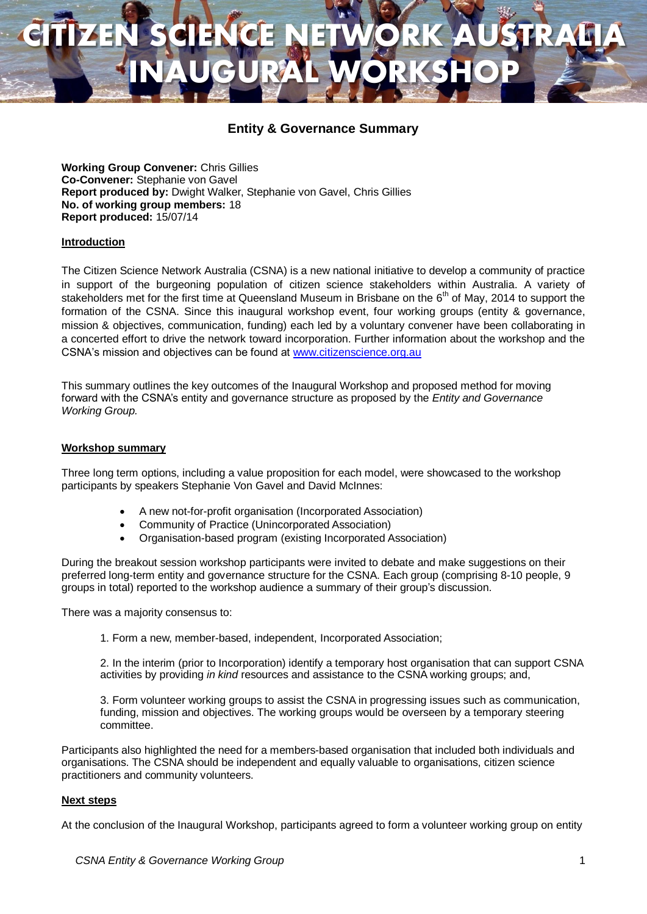## **CITIZEN SCIENCE NETWORK AUSTRALIA INAUGURAL WORKSHOP**

### **Entity & Governance Summary**

**Working Group Convener:** Chris Gillies **Co-Convener:** Stephanie von Gavel **Report produced by:** Dwight Walker, Stephanie von Gavel, Chris Gillies **No. of working group members:** 18 **Report produced:** 15/07/14

#### **Introduction**

The Citizen Science Network Australia (CSNA) is a new national initiative to develop a community of practice in support of the burgeoning population of citizen science stakeholders within Australia. A variety of stakeholders met for the first time at Queensland Museum in Brisbane on the 6<sup>th</sup> of May, 2014 to support the formation of the CSNA. Since this inaugural workshop event, four working groups (entity & governance, mission & objectives, communication, funding) each led by a voluntary convener have been collaborating in a concerted effort to drive the network toward incorporation. Further information about the workshop and the CSNA's mission and objectives can be found at [www.citizenscience.org.au](http://www.citizenscience.org.au/)

This summary outlines the key outcomes of the Inaugural Workshop and proposed method for moving forward with the CSNA's entity and governance structure as proposed by the *Entity and Governance Working Group.*

#### **Workshop summary**

Three long term options, including a value proposition for each model, were showcased to the workshop participants by speakers Stephanie Von Gavel and David McInnes:

- A new not-for-profit organisation (Incorporated Association)
- Community of Practice (Unincorporated Association)
- Organisation-based program (existing Incorporated Association)

During the breakout session workshop participants were invited to debate and make suggestions on their preferred long-term entity and governance structure for the CSNA. Each group (comprising 8-10 people, 9 groups in total) reported to the workshop audience a summary of their group's discussion.

There was a majority consensus to:

1. Form a new, member-based, independent, Incorporated Association;

2. In the interim (prior to Incorporation) identify a temporary host organisation that can support CSNA activities by providing *in kind* resources and assistance to the CSNA working groups; and,

3. Form volunteer working groups to assist the CSNA in progressing issues such as communication, funding, mission and objectives. The working groups would be overseen by a temporary steering committee.

Participants also highlighted the need for a members-based organisation that included both individuals and organisations. The CSNA should be independent and equally valuable to organisations, citizen science practitioners and community volunteers.

#### **Next steps**

At the conclusion of the Inaugural Workshop, participants agreed to form a volunteer working group on entity